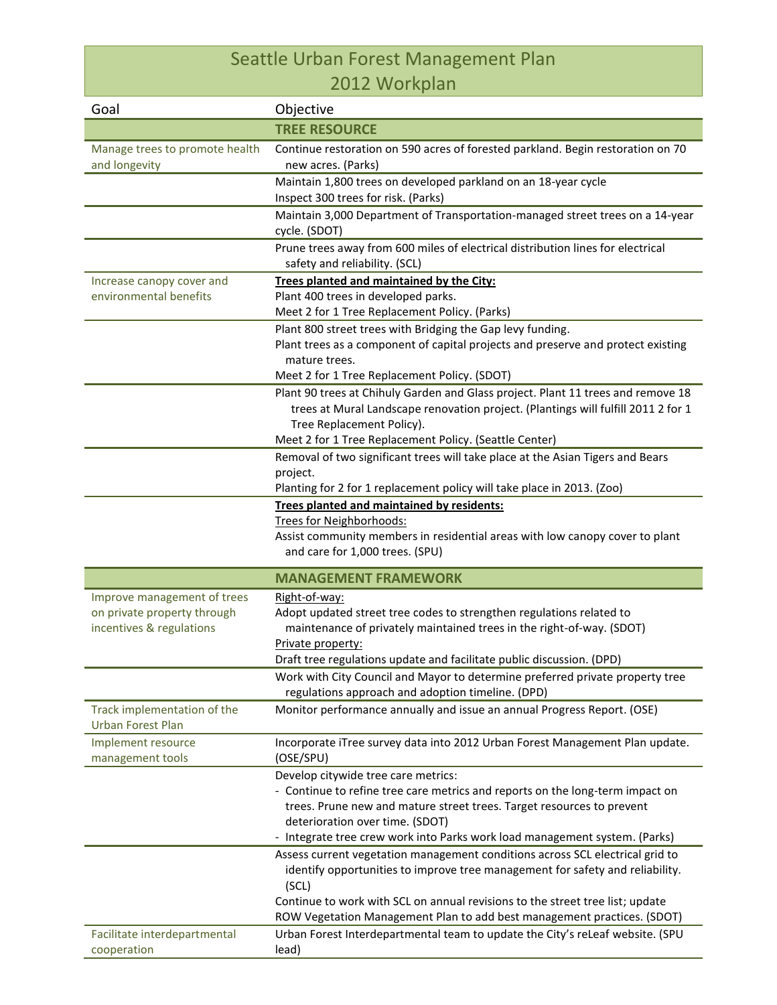## Seattle Urban Forest Management Plan 2012 Workplan

| Goal                                                    | Objective                                                                                                                                                                                          |
|---------------------------------------------------------|----------------------------------------------------------------------------------------------------------------------------------------------------------------------------------------------------|
|                                                         | <b>TREE RESOURCE</b>                                                                                                                                                                               |
| Manage trees to promote health<br>and longevity         | Continue restoration on 590 acres of forested parkland. Begin restoration on 70<br>new acres. (Parks)                                                                                              |
|                                                         | Maintain 1,800 trees on developed parkland on an 18-year cycle                                                                                                                                     |
|                                                         | Inspect 300 trees for risk. (Parks)                                                                                                                                                                |
|                                                         | Maintain 3,000 Department of Transportation-managed street trees on a 14-year<br>cycle. (SDOT)                                                                                                     |
|                                                         | Prune trees away from 600 miles of electrical distribution lines for electrical<br>safety and reliability. (SCL)                                                                                   |
| Increase canopy cover and                               | Trees planted and maintained by the City:                                                                                                                                                          |
| environmental benefits                                  | Plant 400 trees in developed parks.                                                                                                                                                                |
|                                                         | Meet 2 for 1 Tree Replacement Policy. (Parks)                                                                                                                                                      |
|                                                         | Plant 800 street trees with Bridging the Gap levy funding.                                                                                                                                         |
|                                                         | Plant trees as a component of capital projects and preserve and protect existing                                                                                                                   |
|                                                         | mature trees.                                                                                                                                                                                      |
|                                                         | Meet 2 for 1 Tree Replacement Policy. (SDOT)                                                                                                                                                       |
|                                                         | Plant 90 trees at Chihuly Garden and Glass project. Plant 11 trees and remove 18<br>trees at Mural Landscape renovation project. (Plantings will fulfill 2011 2 for 1<br>Tree Replacement Policy). |
|                                                         | Meet 2 for 1 Tree Replacement Policy. (Seattle Center)                                                                                                                                             |
|                                                         | Removal of two significant trees will take place at the Asian Tigers and Bears                                                                                                                     |
|                                                         | project.<br>Planting for 2 for 1 replacement policy will take place in 2013. (Zoo)                                                                                                                 |
|                                                         | Trees planted and maintained by residents:                                                                                                                                                         |
|                                                         | Trees for Neighborhoods:                                                                                                                                                                           |
|                                                         | Assist community members in residential areas with low canopy cover to plant<br>and care for 1,000 trees. (SPU)                                                                                    |
|                                                         |                                                                                                                                                                                                    |
|                                                         | <b>MANAGEMENT FRAMEWORK</b>                                                                                                                                                                        |
| Improve management of trees                             | Right-of-way:                                                                                                                                                                                      |
| on private property through<br>incentives & regulations | Adopt updated street tree codes to strengthen regulations related to<br>maintenance of privately maintained trees in the right-of-way. (SDOT)<br>Private property:                                 |
|                                                         | Draft tree regulations update and facilitate public discussion. (DPD)                                                                                                                              |
|                                                         | Work with City Council and Mayor to determine preferred private property tree<br>regulations approach and adoption timeline. (DPD)                                                                 |
| Track implementation of the<br><b>Urban Forest Plan</b> | Monitor performance annually and issue an annual Progress Report. (OSE)                                                                                                                            |
| Implement resource<br>management tools                  | Incorporate iTree survey data into 2012 Urban Forest Management Plan update.<br>(OSE/SPU)                                                                                                          |
|                                                         | Develop citywide tree care metrics:                                                                                                                                                                |
|                                                         | - Continue to refine tree care metrics and reports on the long-term impact on                                                                                                                      |
|                                                         | trees. Prune new and mature street trees. Target resources to prevent                                                                                                                              |
|                                                         | deterioration over time. (SDOT)                                                                                                                                                                    |
|                                                         | - Integrate tree crew work into Parks work load management system. (Parks)                                                                                                                         |
|                                                         | Assess current vegetation management conditions across SCL electrical grid to<br>identify opportunities to improve tree management for safety and reliability.<br>(SCL)                            |
|                                                         | Continue to work with SCL on annual revisions to the street tree list; update                                                                                                                      |
|                                                         | ROW Vegetation Management Plan to add best management practices. (SDOT)                                                                                                                            |
| Facilitate interdepartmental                            | Urban Forest Interdepartmental team to update the City's reLeaf website. (SPU                                                                                                                      |